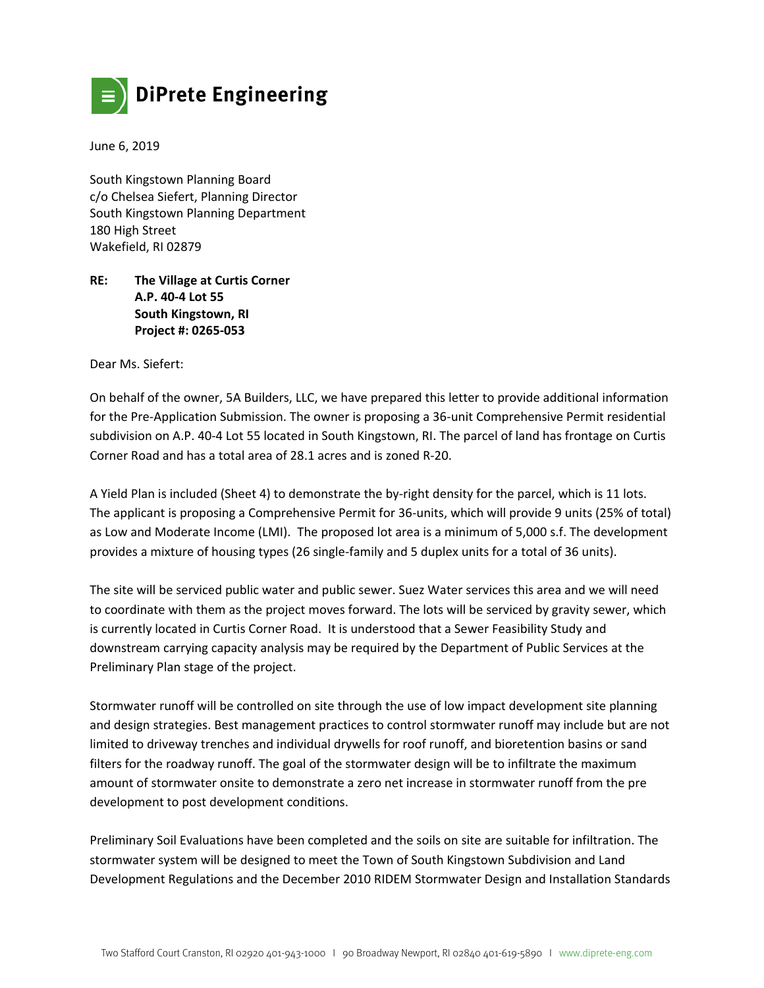

June 6, 2019

South Kingstown Planning Board c/o Chelsea Siefert, Planning Director South Kingstown Planning Department 180 High Street Wakefield, RI 02879

## **RE: The Village at Curtis Corner A.P. 40‐4 Lot 55 South Kingstown, RI Project #: 0265‐053**

Dear Ms. Siefert:

On behalf of the owner, 5A Builders, LLC, we have prepared this letter to provide additional information for the Pre‐Application Submission. The owner is proposing a 36‐unit Comprehensive Permit residential subdivision on A.P. 40‐4 Lot 55 located in South Kingstown, RI. The parcel of land has frontage on Curtis Corner Road and has a total area of 28.1 acres and is zoned R‐20.

A Yield Plan is included (Sheet 4) to demonstrate the by‐right density for the parcel, which is 11 lots. The applicant is proposing a Comprehensive Permit for 36‐units, which will provide 9 units (25% of total) as Low and Moderate Income (LMI). The proposed lot area is a minimum of 5,000 s.f. The development provides a mixture of housing types (26 single-family and 5 duplex units for a total of 36 units).

The site will be serviced public water and public sewer. Suez Water services this area and we will need to coordinate with them as the project moves forward. The lots will be serviced by gravity sewer, which is currently located in Curtis Corner Road. It is understood that a Sewer Feasibility Study and downstream carrying capacity analysis may be required by the Department of Public Services at the Preliminary Plan stage of the project.

Stormwater runoff will be controlled on site through the use of low impact development site planning and design strategies. Best management practices to control stormwater runoff may include but are not limited to driveway trenches and individual drywells for roof runoff, and bioretention basins or sand filters for the roadway runoff. The goal of the stormwater design will be to infiltrate the maximum amount of stormwater onsite to demonstrate a zero net increase in stormwater runoff from the pre development to post development conditions.

Preliminary Soil Evaluations have been completed and the soils on site are suitable for infiltration. The stormwater system will be designed to meet the Town of South Kingstown Subdivision and Land Development Regulations and the December 2010 RIDEM Stormwater Design and Installation Standards